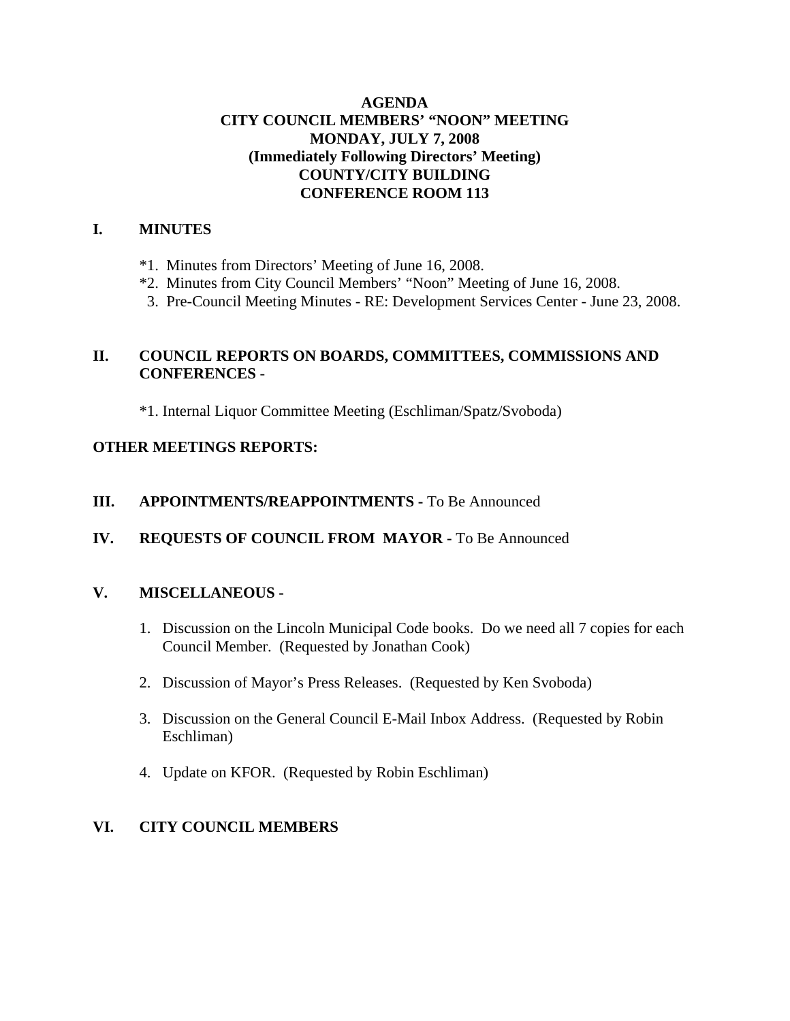### **AGENDA CITY COUNCIL MEMBERS' "NOON" MEETING MONDAY, JULY 7, 2008 (Immediately Following Directors' Meeting) COUNTY/CITY BUILDING CONFERENCE ROOM 113**

## **I. MINUTES**

- \*1. Minutes from Directors' Meeting of June 16, 2008.
- \*2. Minutes from City Council Members' "Noon" Meeting of June 16, 2008.
- 3. Pre-Council Meeting Minutes RE: Development Services Center June 23, 2008.

# **II. COUNCIL REPORTS ON BOARDS, COMMITTEES, COMMISSIONS AND CONFERENCES** -

\*1. Internal Liquor Committee Meeting (Eschliman/Spatz/Svoboda)

### **OTHER MEETINGS REPORTS:**

#### **III.** APPOINTMENTS/REAPPOINTMENTS - To Be Announced

**IV. REQUESTS OF COUNCIL FROM MAYOR -** To Be Announced

#### **V. MISCELLANEOUS -**

- 1. Discussion on the Lincoln Municipal Code books. Do we need all 7 copies for each Council Member. (Requested by Jonathan Cook)
- 2. Discussion of Mayor's Press Releases. (Requested by Ken Svoboda)
- 3. Discussion on the General Council E-Mail Inbox Address. (Requested by Robin Eschliman)
- 4. Update on KFOR. (Requested by Robin Eschliman)

### **VI. CITY COUNCIL MEMBERS**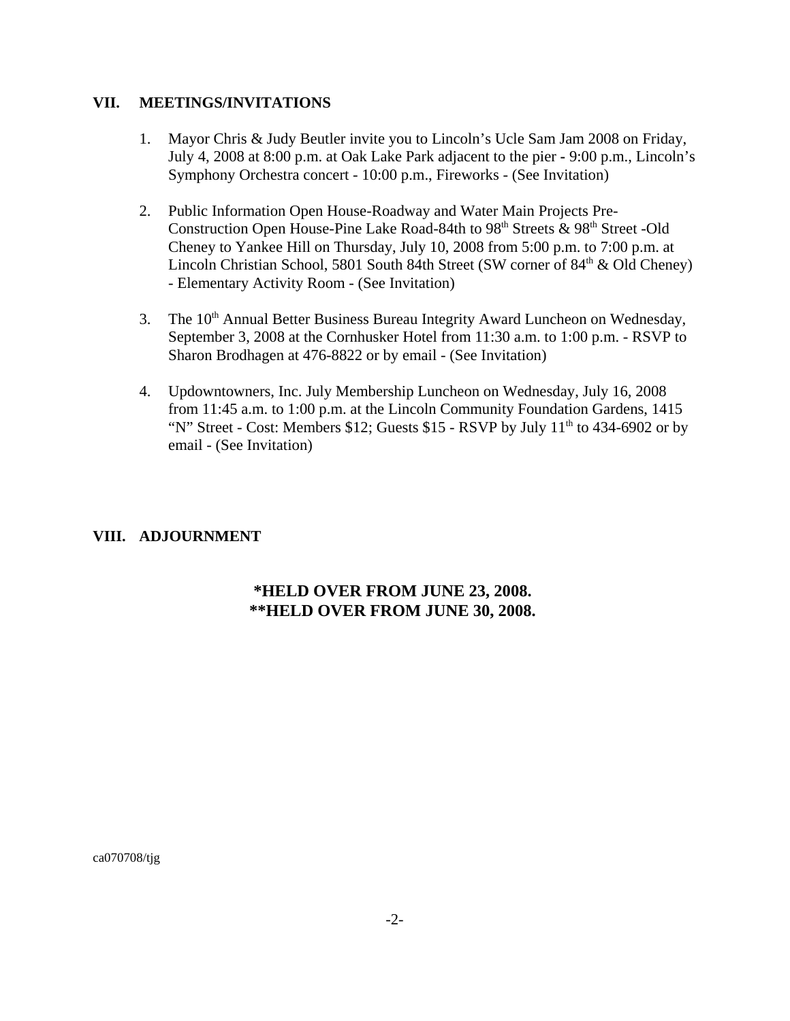#### **VII. MEETINGS/INVITATIONS**

- 1. Mayor Chris & Judy Beutler invite you to Lincoln's Ucle Sam Jam 2008 on Friday, July 4, 2008 at 8:00 p.m. at Oak Lake Park adjacent to the pier **-** 9:00 p.m., Lincoln's Symphony Orchestra concert - 10:00 p.m., Fireworks - (See Invitation)
- 2. Public Information Open House-Roadway and Water Main Projects Pre-Construction Open House-Pine Lake Road-84th to  $98<sup>th</sup>$  Streets &  $98<sup>th</sup>$  Street -Old Cheney to Yankee Hill on Thursday, July 10, 2008 from 5:00 p.m. to 7:00 p.m. at Lincoln Christian School, 5801 South 84th Street (SW corner of  $84<sup>th</sup>$  & Old Cheney) - Elementary Activity Room - (See Invitation)
- 3. The 10<sup>th</sup> Annual Better Business Bureau Integrity Award Luncheon on Wednesday, September 3, 2008 at the Cornhusker Hotel from 11:30 a.m. to 1:00 p.m. - RSVP to Sharon Brodhagen at 476-8822 or by email - (See Invitation)
- 4. Updowntowners, Inc. July Membership Luncheon on Wednesday, July 16, 2008 from 11:45 a.m. to 1:00 p.m. at the Lincoln Community Foundation Gardens, 1415 "N" Street - Cost: Members \$12; Guests \$15 - RSVP by July  $11<sup>th</sup>$  to 434-6902 or by email - (See Invitation)

#### **VIII. ADJOURNMENT**

### **\*HELD OVER FROM JUNE 23, 2008. \*\*HELD OVER FROM JUNE 30, 2008.**

ca070708/tjg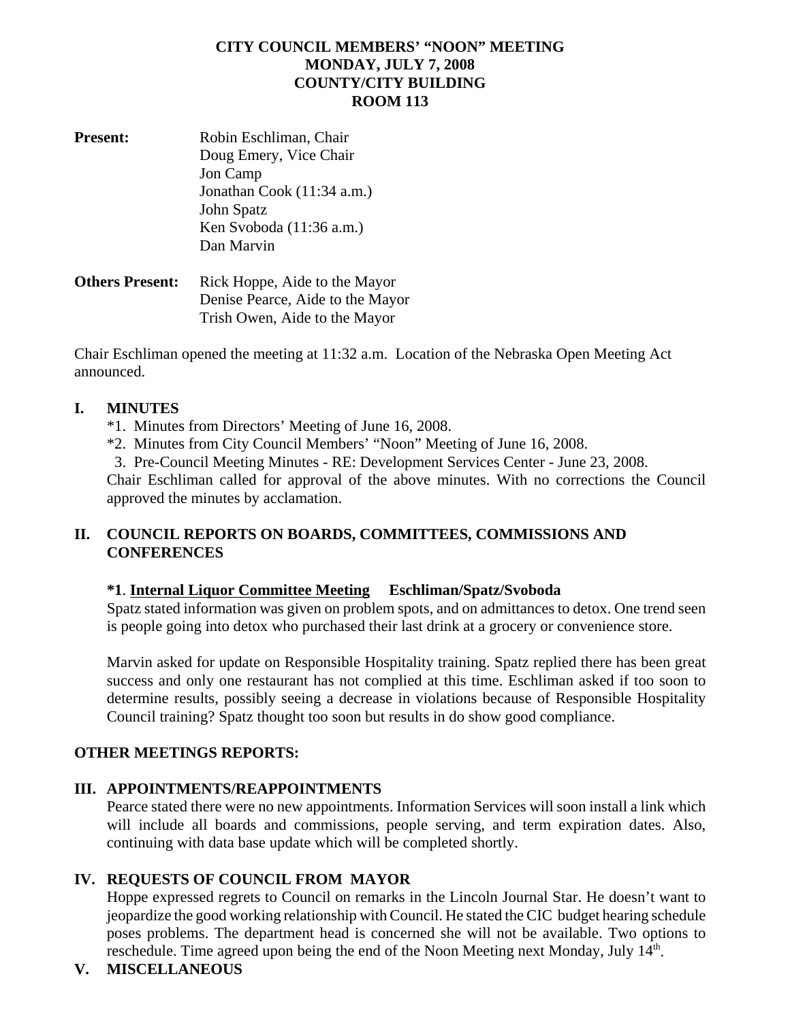### **CITY COUNCIL MEMBERS' "NOON" MEETING MONDAY, JULY 7, 2008 COUNTY/CITY BUILDING ROOM 113**

| <b>Present:</b>        | Robin Eschliman, Chair        |
|------------------------|-------------------------------|
|                        | Doug Emery, Vice Chair        |
|                        | Jon Camp                      |
|                        | Jonathan Cook (11:34 a.m.)    |
|                        | John Spatz                    |
|                        | Ken Svoboda (11:36 a.m.)      |
|                        | Dan Marvin                    |
| <b>Others Present:</b> | Rick Hoppe. Aide to the Mayor |

**Others Present:** Rick Hoppe, Aide to the Mayor Denise Pearce, Aide to the Mayor Trish Owen, Aide to the Mayor

Chair Eschliman opened the meeting at 11:32 a.m. Location of the Nebraska Open Meeting Act announced.

#### **I. MINUTES**

- \*1. Minutes from Directors' Meeting of June 16, 2008.
- \*2. Minutes from City Council Members' "Noon" Meeting of June 16, 2008.

3. Pre-Council Meeting Minutes - RE: Development Services Center - June 23, 2008.

Chair Eschliman called for approval of the above minutes. With no corrections the Council approved the minutes by acclamation.

# **II. COUNCIL REPORTS ON BOARDS, COMMITTEES, COMMISSIONS AND CONFERENCES**

### **\*1**. **Internal Liquor Committee Meeting Eschliman/Spatz/Svoboda**

Spatz stated information was given on problem spots, and on admittances to detox. One trend seen is people going into detox who purchased their last drink at a grocery or convenience store.

Marvin asked for update on Responsible Hospitality training. Spatz replied there has been great success and only one restaurant has not complied at this time. Eschliman asked if too soon to determine results, possibly seeing a decrease in violations because of Responsible Hospitality Council training? Spatz thought too soon but results in do show good compliance.

### **OTHER MEETINGS REPORTS:**

### **III. APPOINTMENTS/REAPPOINTMENTS**

Pearce stated there were no new appointments. Information Services will soon install a link which will include all boards and commissions, people serving, and term expiration dates. Also, continuing with data base update which will be completed shortly.

### **IV. REQUESTS OF COUNCIL FROM MAYOR**

Hoppe expressed regrets to Council on remarks in the Lincoln Journal Star. He doesn't want to jeopardize the good working relationship with Council. He stated the CIC budget hearing schedule poses problems. The department head is concerned she will not be available. Two options to reschedule. Time agreed upon being the end of the Noon Meeting next Monday, July 14<sup>th</sup>.

### **V. MISCELLANEOUS**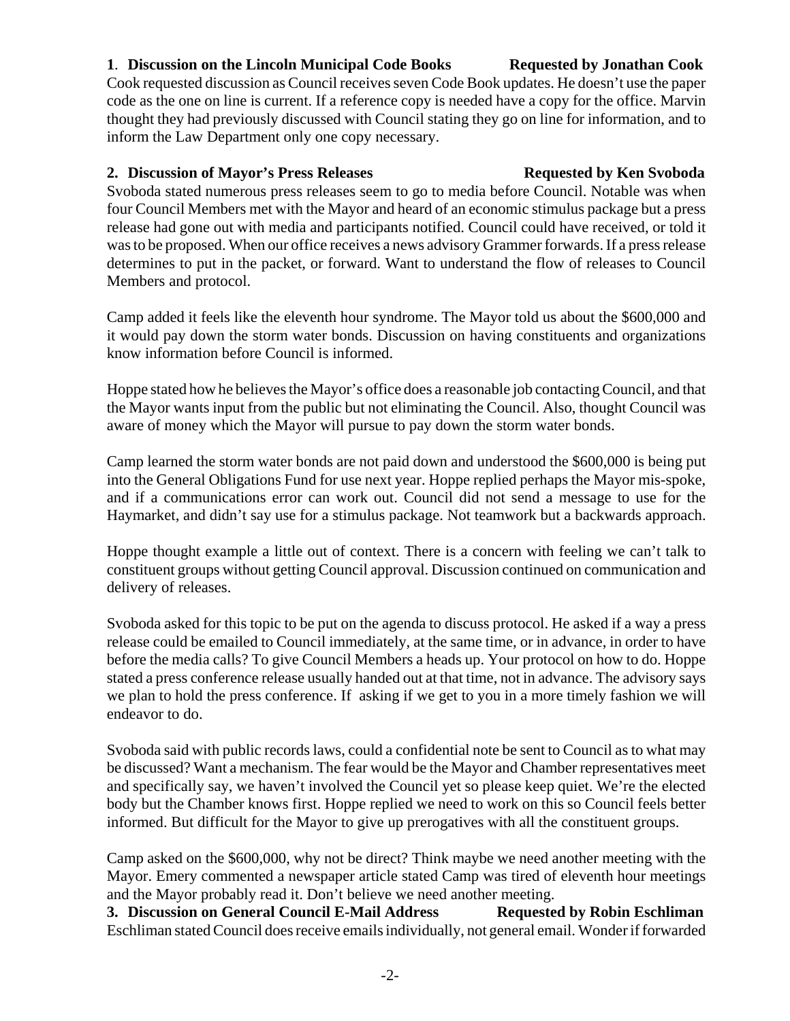# **1**. **Discussion on the Lincoln Municipal Code Books Requested by Jonathan Cook**

Cook requested discussion as Council receives seven Code Book updates. He doesn't use the paper code as the one on line is current. If a reference copy is needed have a copy for the office. Marvin thought they had previously discussed with Council stating they go on line for information, and to inform the Law Department only one copy necessary.

## **2. Discussion of Mayor's Press Releases Requested by Ken Svoboda**

Svoboda stated numerous press releases seem to go to media before Council. Notable was when four Council Members met with the Mayor and heard of an economic stimulus package but a press release had gone out with media and participants notified. Council could have received, or told it was to be proposed. When our office receives a news advisory Grammer forwards. If a press release determines to put in the packet, or forward. Want to understand the flow of releases to Council Members and protocol.

Camp added it feels like the eleventh hour syndrome. The Mayor told us about the \$600,000 and it would pay down the storm water bonds. Discussion on having constituents and organizations know information before Council is informed.

Hoppe stated how he believes the Mayor's office does a reasonable job contacting Council, and that the Mayor wants input from the public but not eliminating the Council. Also, thought Council was aware of money which the Mayor will pursue to pay down the storm water bonds.

Camp learned the storm water bonds are not paid down and understood the \$600,000 is being put into the General Obligations Fund for use next year. Hoppe replied perhaps the Mayor mis-spoke, and if a communications error can work out. Council did not send a message to use for the Haymarket, and didn't say use for a stimulus package. Not teamwork but a backwards approach.

Hoppe thought example a little out of context. There is a concern with feeling we can't talk to constituent groups without getting Council approval. Discussion continued on communication and delivery of releases.

Svoboda asked for this topic to be put on the agenda to discuss protocol. He asked if a way a press release could be emailed to Council immediately, at the same time, or in advance, in order to have before the media calls? To give Council Members a heads up. Your protocol on how to do. Hoppe stated a press conference release usually handed out at that time, not in advance. The advisory says we plan to hold the press conference. If asking if we get to you in a more timely fashion we will endeavor to do.

Svoboda said with public records laws, could a confidential note be sent to Council as to what may be discussed? Want a mechanism. The fear would be the Mayor and Chamber representatives meet and specifically say, we haven't involved the Council yet so please keep quiet. We're the elected body but the Chamber knows first. Hoppe replied we need to work on this so Council feels better informed. But difficult for the Mayor to give up prerogatives with all the constituent groups.

Camp asked on the \$600,000, why not be direct? Think maybe we need another meeting with the Mayor. Emery commented a newspaper article stated Camp was tired of eleventh hour meetings and the Mayor probably read it. Don't believe we need another meeting.

**3. Discussion on General Council E-Mail Address Requested by Robin Eschliman** Eschliman stated Council does receive emails individually, not general email. Wonder if forwarded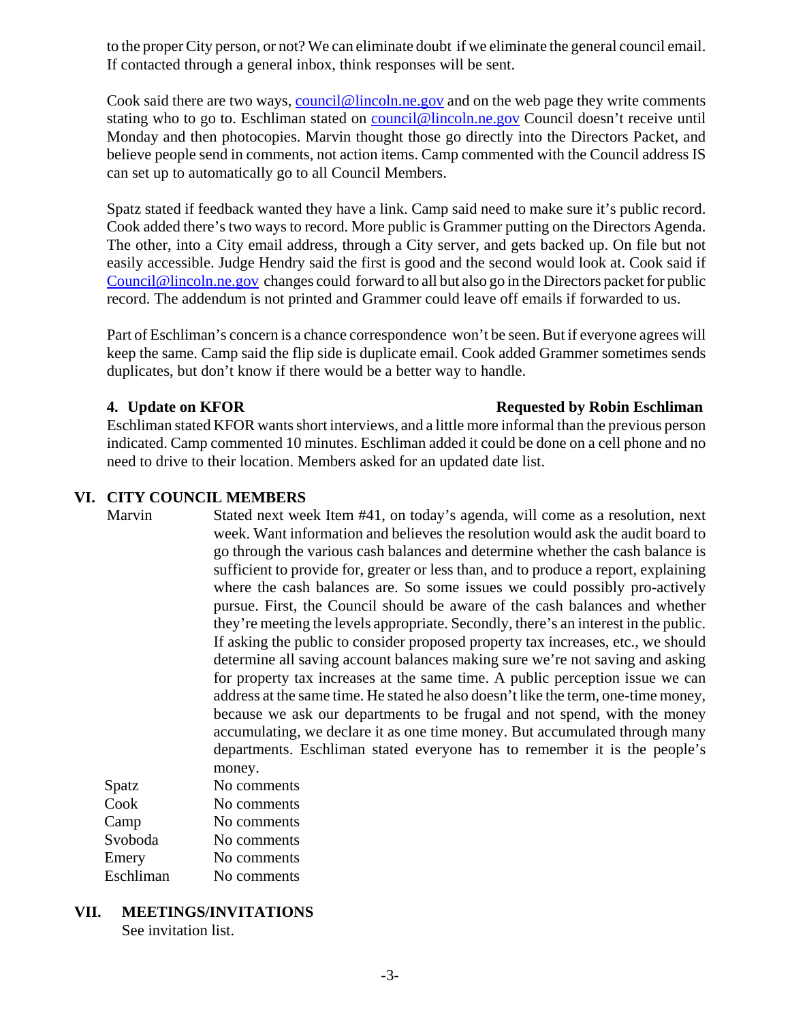to the proper City person, or not? We can eliminate doubt if we eliminate the general council email. If contacted through a general inbox, think responses will be sent.

Cook said there are two ways, council@lincoln.ne.gov and on the web page they write comments stating who to go to. Eschliman stated on council@lincoln.ne.gov Council doesn't receive until Monday and then photocopies. Marvin thought those go directly into the Directors Packet, and believe people send in comments, not action items. Camp commented with the Council address IS can set up to automatically go to all Council Members.

Spatz stated if feedback wanted they have a link. Camp said need to make sure it's public record. Cook added there's two ways to record. More public is Grammer putting on the Directors Agenda. The other, into a City email address, through a City server, and gets backed up. On file but not easily accessible. Judge Hendry said the first is good and the second would look at. Cook said if Council@lincoln.ne.gov changes could forward to all but also go in the Directors packet for public record. The addendum is not printed and Grammer could leave off emails if forwarded to us.

Part of Eschliman's concern is a chance correspondence won't be seen. But if everyone agrees will keep the same. Camp said the flip side is duplicate email. Cook added Grammer sometimes sends duplicates, but don't know if there would be a better way to handle.

#### **4. Update on KFOR Requested by Robin Eschliman**

Eschliman stated KFOR wants short interviews, and a little more informal than the previous person indicated. Camp commented 10 minutes. Eschliman added it could be done on a cell phone and no need to drive to their location. Members asked for an updated date list.

### **VI. CITY COUNCIL MEMBERS**

Marvin Stated next week Item #41, on today's agenda, will come as a resolution, next week. Want information and believes the resolution would ask the audit board to go through the various cash balances and determine whether the cash balance is sufficient to provide for, greater or less than, and to produce a report, explaining where the cash balances are. So some issues we could possibly pro-actively pursue. First, the Council should be aware of the cash balances and whether they're meeting the levels appropriate. Secondly, there's an interest in the public. If asking the public to consider proposed property tax increases, etc., we should determine all saving account balances making sure we're not saving and asking for property tax increases at the same time. A public perception issue we can address at the same time. He stated he also doesn't like the term, one-time money, because we ask our departments to be frugal and not spend, with the money accumulating, we declare it as one time money. But accumulated through many departments. Eschliman stated everyone has to remember it is the people's money.

| Spatz     | No comments |
|-----------|-------------|
| Cook      | No comments |
| Camp      | No comments |
| Svoboda   | No comments |
| Emery     | No comments |
| Eschliman | No comments |
|           |             |

**VII. MEETINGS/INVITATIONS** See invitation list.